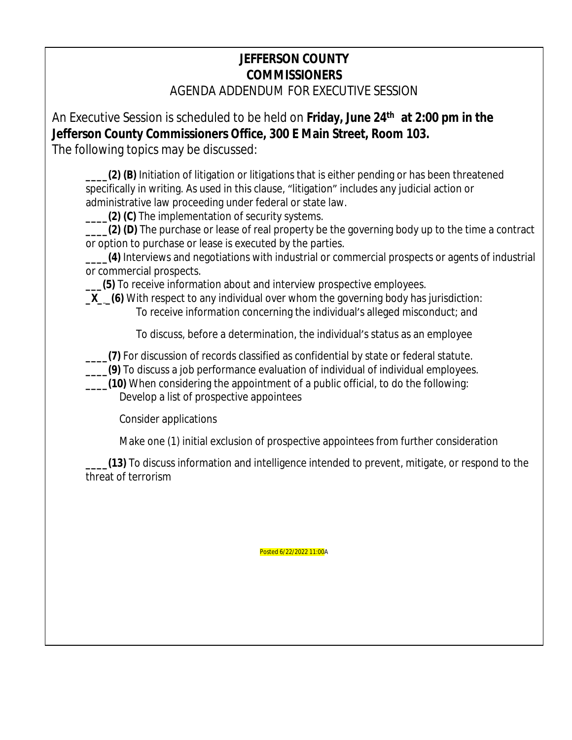## **JEFFERSON COUNTY COMMISSIONERS**

AGENDA ADDENDUM FOR EXECUTIVE SESSION

An Executive Session is scheduled to be held on **Friday, June 24th at 2:00 pm in the Jefferson County Commissioners Office, 300 E Main Street, Room 103.** 

The following topics may be discussed:

**\_\_\_\_(2) (B)** Initiation of litigation or litigations that is either pending or has been threatened specifically in writing. As used in this clause, "litigation" includes any judicial action or administrative law proceeding under federal or state law.

**(2) (C)** The implementation of security systems.

**\_\_\_\_(2) (D)** The purchase or lease of real property be the governing body up to the time a contract or option to purchase or lease is executed by the parties.

**\_\_\_\_(4)** Interviews and negotiations with industrial or commercial prospects or agents of industrial or commercial prospects.

**\_\_\_(5)** To receive information about and interview prospective employees.

**\_X\_ \_(6)** With respect to any individual over whom the governing body has jurisdiction: To receive information concerning the individual's alleged misconduct; and

To discuss, before a determination, the individual's status as an employee

**\_\_\_\_(7)** For discussion of records classified as confidential by state or federal statute.

**\_\_\_\_(9)** To discuss a job performance evaluation of individual of individual employees.

**\_\_\_\_(10)** When considering the appointment of a public official, to do the following: Develop a list of prospective appointees

Consider applications

Make one (1) initial exclusion of prospective appointees from further consideration

**\_\_\_\_(13)** To discuss information and intelligence intended to prevent, mitigate, or respond to the threat of terrorism

Posted 6/22/2022 11:00A